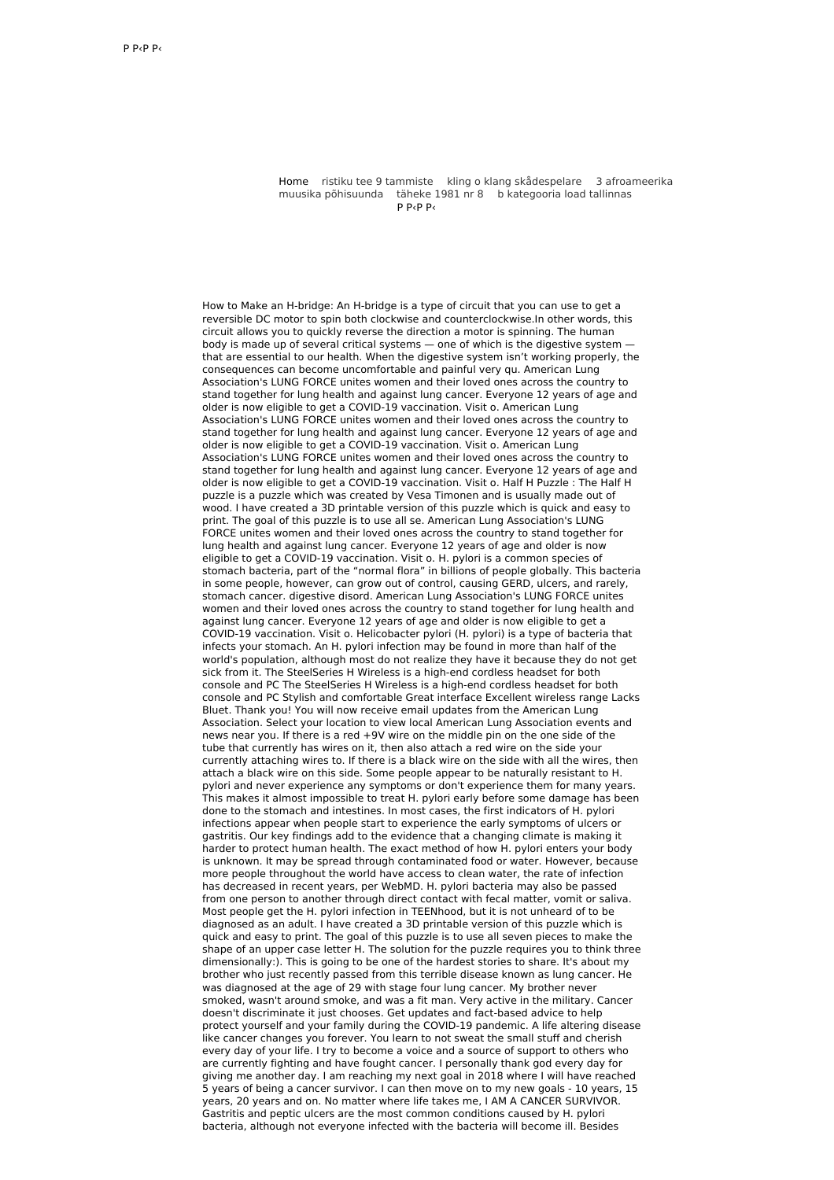Home ristiku tee 9 [tammiste](http://bajbe.pl/PEJ) kling o klang [skådespelare](http://bajbe.pl/6xe) 3 [afroameerika](http://bajbe.pl/8K) muusika põhisuunda [täheke](http://bajbe.pl/cO) 1981 nr 8 b [kategooria](http://manufakturawakame.pl/hXS) load tallinnas  $P$  Р $\epsilon$ Р $\epsilon$ 

How to Make an H-bridge: An H-bridge is a type of circuit that you can use to get a reversible DC motor to spin both clockwise and counterclockwise.In other words, this circuit allows you to quickly reverse the direction a motor is spinning. The human body is made up of several critical systems — one of which is the digestive system that are essential to our health. When the digestive system isn't working properly, the consequences can become uncomfortable and painful very qu. American Lung Association's LUNG FORCE unites women and their loved ones across the country to stand together for lung health and against lung cancer. Everyone 12 years of age and older is now eligible to get a COVID-19 vaccination. Visit o. American Lung Association's LUNG FORCE unites women and their loved ones across the country to stand together for lung health and against lung cancer. Everyone 12 years of age and older is now eligible to get a COVID-19 vaccination. Visit o. American Lung Association's LUNG FORCE unites women and their loved ones across the country to stand together for lung health and against lung cancer. Everyone 12 years of age and older is now eligible to get a COVID-19 vaccination. Visit o. Half H Puzzle : The Half H puzzle is a puzzle which was created by Vesa Timonen and is usually made out of wood. I have created a 3D printable version of this puzzle which is quick and easy to print. The goal of this puzzle is to use all se. American Lung Association's LUNG FORCE unites women and their loved ones across the country to stand together for lung health and against lung cancer. Everyone 12 years of age and older is now eligible to get a COVID-19 vaccination. Visit o. H. pylori is a common species of stomach bacteria, part of the "normal flora" in billions of people globally. This bacteria in some people, however, can grow out of control, causing GERD, ulcers, and rarely, stomach cancer. digestive disord. American Lung Association's LUNG FORCE unites women and their loved ones across the country to stand together for lung health and against lung cancer. Everyone 12 years of age and older is now eligible to get a COVID-19 vaccination. Visit o. Helicobacter pylori (H. pylori) is a type of bacteria that infects your stomach. An H. pylori infection may be found in more than half of the world's population, although most do not realize they have it because they do not get sick from it. The SteelSeries H Wireless is a high-end cordless headset for both console and PC The SteelSeries H Wireless is a high-end cordless headset for both console and PC Stylish and comfortable Great interface Excellent wireless range Lacks Bluet. Thank you! You will now receive email updates from the American Lung Association. Select your location to view local American Lung Association events and news near you. If there is a red +9V wire on the middle pin on the one side of the tube that currently has wires on it, then also attach a red wire on the side your currently attaching wires to. If there is a black wire on the side with all the wires, then attach a black wire on this side. Some people appear to be naturally resistant to H. pylori and never experience any symptoms or don't experience them for many years. This makes it almost impossible to treat H. pylori early before some damage has been done to the stomach and intestines. In most cases, the first indicators of H. pylori infections appear when people start to experience the early symptoms of ulcers or gastritis. Our key findings add to the evidence that a changing climate is making it harder to protect human health. The exact method of how H. pylori enters your body is unknown. It may be spread through contaminated food or water. However, because more people throughout the world have access to clean water, the rate of infection has decreased in recent years, per WebMD. H. pylori bacteria may also be passed from one person to another through direct contact with fecal matter, vomit or saliva. Most people get the H. pylori infection in TEENhood, but it is not unheard of to be diagnosed as an adult. I have created a 3D printable version of this puzzle which is quick and easy to print. The goal of this puzzle is to use all seven pieces to make the shape of an upper case letter H. The solution for the puzzle requires you to think three dimensionally:). This is going to be one of the hardest stories to share. It's about my brother who just recently passed from this terrible disease known as lung cancer. He was diagnosed at the age of 29 with stage four lung cancer. My brother never smoked, wasn't around smoke, and was a fit man. Very active in the military. Cancer doesn't discriminate it just chooses. Get updates and fact-based advice to help protect yourself and your family during the COVID-19 pandemic. A life altering disease like cancer changes you forever. You learn to not sweat the small stuff and cherish every day of your life. I try to become a voice and a source of support to others who are currently fighting and have fought cancer. I personally thank god every day for giving me another day. I am reaching my next goal in 2018 where I will have reached 5 years of being a cancer survivor. I can then move on to my new goals - 10 years, 15 years, 20 years and on. No matter where life takes me, I AM A CANCER SURVIVOR. Gastritis and peptic ulcers are the most common conditions caused by H. pylori bacteria, although not everyone infected with the bacteria will become ill. Besides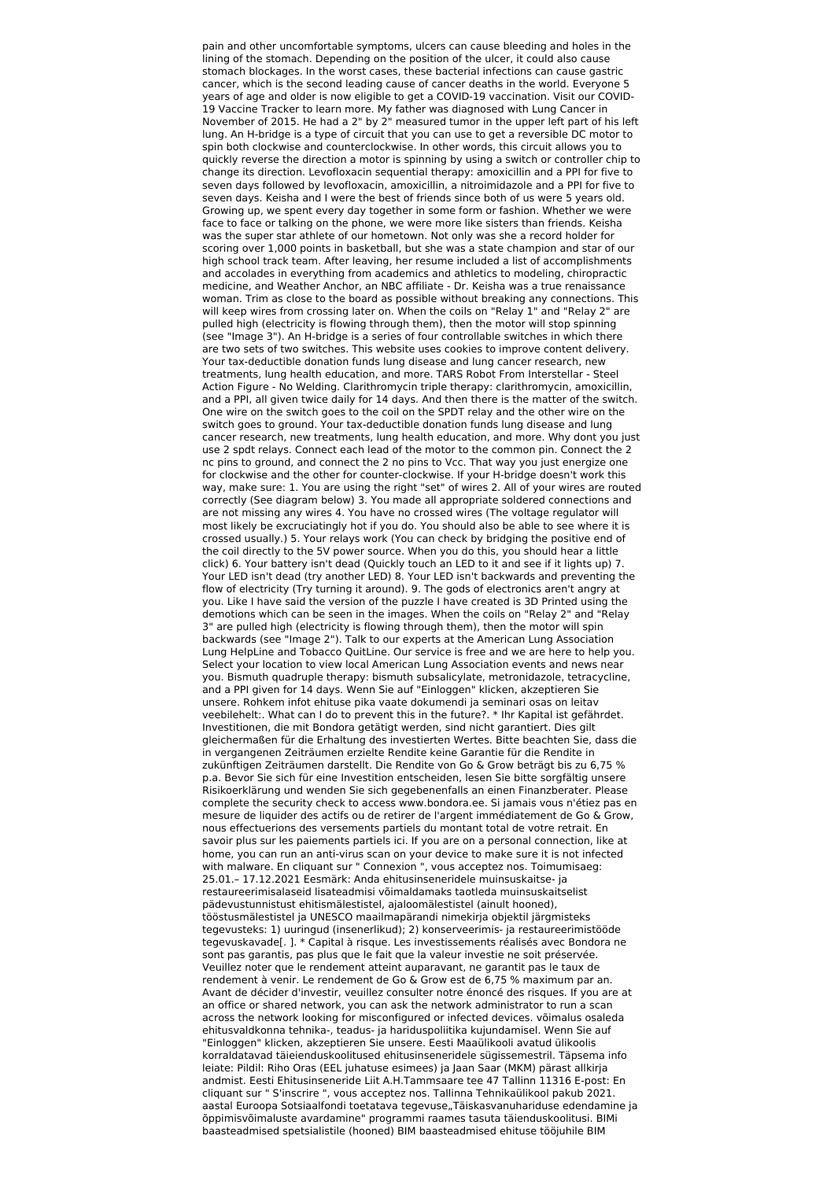pain and other uncomfortable symptoms, ulcers can cause bleeding and holes in the lining of the stomach. Depending on the position of the ulcer, it could also cause stomach blockages. In the worst cases, these bacterial infections can cause gastric cancer, which is the second leading cause of cancer deaths in the world. Everyone 5 years of age and older is now eligible to get a COVID-19 vaccination. Visit our COVID-19 Vaccine Tracker to learn more. My father was diagnosed with Lung Cancer in November of 2015. He had a 2" by 2" measured tumor in the upper left part of his left lung. An H-bridge is a type of circuit that you can use to get a reversible DC motor to spin both clockwise and counterclockwise. In other words, this circuit allows you to quickly reverse the direction a motor is spinning by using a switch or controller chip to change its direction. Levofloxacin sequential therapy: amoxicillin and a PPI for five to seven days followed by levofloxacin, amoxicillin, a nitroimidazole and a PPI for five to seven days. Keisha and I were the best of friends since both of us were 5 years old. Growing up, we spent every day together in some form or fashion. Whether we were face to face or talking on the phone, we were more like sisters than friends. Keisha was the super star athlete of our hometown. Not only was she a record holder for scoring over 1,000 points in basketball, but she was a state champion and star of our high school track team. After leaving, her resume included a list of accomplishments and accolades in everything from academics and athletics to modeling, chiropractic medicine, and Weather Anchor, an NBC affiliate - Dr. Keisha was a true renaissance woman. Trim as close to the board as possible without breaking any connections. This will keep wires from crossing later on. When the coils on "Relay 1" and "Relay 2" are pulled high (electricity is flowing through them), then the motor will stop spinning (see "Image 3"). An H-bridge is a series of four controllable switches in which there are two sets of two switches. This website uses cookies to improve content delivery. Your tax-deductible donation funds lung disease and lung cancer research, new treatments, lung health education, and more. TARS Robot From Interstellar - Steel Action Figure - No Welding. Clarithromycin triple therapy: clarithromycin, amoxicillin, and a PPI, all given twice daily for 14 days. And then there is the matter of the switch. One wire on the switch goes to the coil on the SPDT relay and the other wire on the switch goes to ground. Your tax-deductible donation funds lung disease and lung cancer research, new treatments, lung health education, and more. Why dont you just use 2 spdt relays. Connect each lead of the motor to the common pin. Connect the 2 nc pins to ground, and connect the 2 no pins to Vcc. That way you just energize one for clockwise and the other for counter-clockwise. If your H-bridge doesn't work this way, make sure: 1. You are using the right "set" of wires 2. All of your wires are routed correctly (See diagram below) 3. You made all appropriate soldered connections and are not missing any wires 4. You have no crossed wires (The voltage regulator will most likely be excruciatingly hot if you do. You should also be able to see where it is crossed usually.) 5. Your relays work (You can check by bridging the positive end of the coil directly to the 5V power source. When you do this, you should hear a little click) 6. Your battery isn't dead (Quickly touch an LED to it and see if it lights up) 7. Your LED isn't dead (try another LED) 8. Your LED isn't backwards and preventing the flow of electricity (Try turning it around). 9. The gods of electronics aren't angry at you. Like I have said the version of the puzzle I have created is 3D Printed using the demotions which can be seen in the images. When the coils on "Relay 2" and "Relay 3" are pulled high (electricity is flowing through them), then the motor will spin backwards (see "Image 2"). Talk to our experts at the American Lung Association Lung HelpLine and Tobacco QuitLine. Our service is free and we are here to help you. Select your location to view local American Lung Association events and news near you. Bismuth quadruple therapy: bismuth subsalicylate, metronidazole, tetracycline, and a PPI given for 14 days. Wenn Sie auf "Einloggen" klicken, akzeptieren Sie unsere. Rohkem infot ehituse pika vaate dokumendi ja seminari osas on leitav veebilehelt:. What can I do to prevent this in the future?. \* Ihr Kapital ist gefährdet. Investitionen, die mit Bondora getätigt werden, sind nicht garantiert. Dies gilt gleichermaßen für die Erhaltung des investierten Wertes. Bitte beachten Sie, dass die in vergangenen Zeiträumen erzielte Rendite keine Garantie für die Rendite in zukünftigen Zeiträumen darstellt. Die Rendite von Go & Grow beträgt bis zu 6,75 % p.a. Bevor Sie sich für eine Investition entscheiden, lesen Sie bitte sorgfältig unsere Risikoerklärung und wenden Sie sich gegebenenfalls an einen Finanzberater. Please complete the security check to access www.bondora.ee. Si jamais vous n'étiez pas en mesure de liquider des actifs ou de retirer de l'argent immédiatement de Go & Grow, nous effectuerions des versements partiels du montant total de votre retrait. En savoir plus sur les paiements partiels ici. If you are on a personal connection, like at home, you can run an anti-virus scan on your device to make sure it is not infected with malware. En cliquant sur " Connexion ", vous acceptez nos. Toimumisaeg: 25.01.– 17.12.2021 Eesmärk: Anda ehitusinseneridele muinsuskaitse- ja restaureerimisalaseid lisateadmisi võimaldamaks taotleda muinsuskaitselist pädevustunnistust ehitismälestistel, ajaloomälestistel (ainult hooned), tööstusmälestistel ja UNESCO maailmapärandi nimekirja objektil järgmisteks tegevusteks: 1) uuringud (insenerlikud); 2) konserveerimis- ja restaureerimistööde tegevuskavade[. ]. \* Capital à risque. Les investissements réalisés avec Bondora ne sont pas garantis, pas plus que le fait que la valeur investie ne soit préservée. Veuillez noter que le rendement atteint auparavant, ne garantit pas le taux de rendement à venir. Le rendement de Go & Grow est de 6,75 % maximum par an. Avant de décider d'investir, veuillez consulter notre énoncé des risques. If you are at an office or shared network, you can ask the network administrator to run a scan across the network looking for misconfigured or infected devices. võimalus osaleda ehitusvaldkonna tehnika-, teadus- ja hariduspoliitika kujundamisel. Wenn Sie auf "Einloggen" klicken, akzeptieren Sie unsere. Eesti Maaülikooli avatud ülikoolis korraldatavad täieienduskoolitused ehitusinseneridele sügissemestril. Täpsema info leiate: Pildil: Riho Oras (EEL juhatuse esimees) ja Jaan Saar (MKM) pärast allkirja andmist. Eesti Ehitusinseneride Liit A.H.Tammsaare tee 47 Tallinn 11316 E-post: En cliquant sur " S'inscrire ", vous acceptez nos. Tallinna Tehnikaülikool pakub 2021. aastal Euroopa Sotsiaalfondi toetatava tegevuse "Täiskasvanuhariduse edendamine ja õppimisvõimaluste avardamine" programmi raames tasuta täienduskoolitusi. BIMi baasteadmised spetsialistile (hooned) BIM baasteadmised ehituse tööjuhile BIM